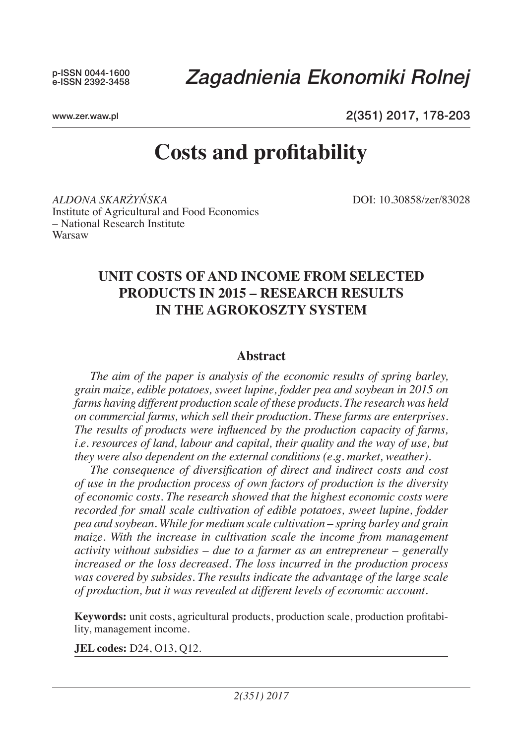# *Zagadnienia Ekonomiki Rolnej*

www.zer.waw.pl

2(351) 2017, 178-203

# **Costs and profitability**

*Aldona Skarżyńska* DOI: 10.30858/zer/83028 Institute of Agricultural and Food Economics – National Research Institute Warsaw

# **UNIT COSTS OF AND INCOME FROM SELECTED PRODUCTS IN 2015 – RESEARCH RESULTS IN THE AGROKOSZTY SYSTEM**

# **Abstract**

*The aim of the paper is analysis of the economic results of spring barley, grain maize, edible potatoes, sweet lupine, fodder pea and soybean in 2015 on farms having different production scale of these products. The research was held on commercial farms, which sell their production. These farms are enterprises. The results of products were influenced by the production capacity of farms, i.e. resources of land, labour and capital, their quality and the way of use, but they were also dependent on the external conditions (e.g. market, weather).* 

*The consequence of diversification of direct and indirect costs and cost of use in the production process of own factors of production is the diversity of economic costs. The research showed that the highest economic costs were recorded for small scale cultivation of edible potatoes, sweet lupine, fodder pea and soybean. While for medium scale cultivation – spring barley and grain maize.* With the increase in cultivation scale the income from management *activity without subsidies – due to a farmer as an entrepreneur – generally increased or the loss decreased. The loss incurred in the production process was covered by subsides. The results indicate the advantage of the large scale of production, but it was revealed at different levels of economic account.* 

**Keywords:** unit costs, agricultural products, production scale, production profitability, management income.

**JEL codes:** D24, O13, Q12.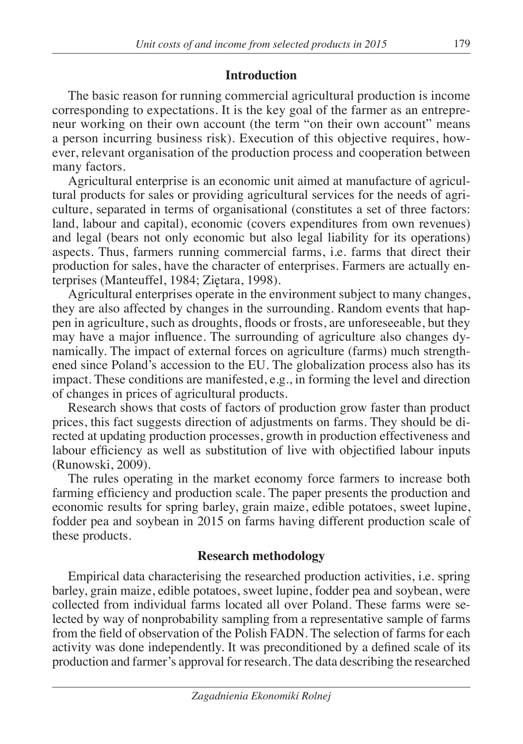# **Introduction**

The basic reason for running commercial agricultural production is income corresponding to expectations. It is the key goal of the farmer as an entrepreneur working on their own account (the term "on their own account" means a person incurring business risk). Execution of this objective requires, however, relevant organisation of the production process and cooperation between many factors.

Agricultural enterprise is an economic unit aimed at manufacture of agricultural products for sales or providing agricultural services for the needs of agriculture, separated in terms of organisational (constitutes a set of three factors: land, labour and capital), economic (covers expenditures from own revenues) and legal (bears not only economic but also legal liability for its operations) aspects. Thus, farmers running commercial farms, i.e. farms that direct their production for sales, have the character of enterprises. Farmers are actually enterprises (Manteuffel, 1984; Ziętara, 1998).

Agricultural enterprises operate in the environment subject to many changes, they are also affected by changes in the surrounding. Random events that happen in agriculture, such as droughts, floods or frosts, are unforeseeable, but they may have a major influence. The surrounding of agriculture also changes dynamically. The impact of external forces on agriculture (farms) much strengthened since Poland's accession to the EU. The globalization process also has its impact. These conditions are manifested, e.g., in forming the level and direction of changes in prices of agricultural products.

Research shows that costs of factors of production grow faster than product prices, this fact suggests direction of adjustments on farms. They should be directed at updating production processes, growth in production effectiveness and labour efficiency as well as substitution of live with objectified labour inputs (Runowski, 2009).

The rules operating in the market economy force farmers to increase both farming efficiency and production scale. The paper presents the production and economic results for spring barley, grain maize, edible potatoes, sweet lupine, fodder pea and soybean in 2015 on farms having different production scale of these products.

# **Research methodology**

Empirical data characterising the researched production activities, i.e. spring barley, grain maize, edible potatoes, sweet lupine, fodder pea and soybean, were collected from individual farms located all over Poland. These farms were selected by way of nonprobability sampling from a representative sample of farms from the field of observation of the Polish FADN. The selection of farms for each activity was done independently. It was preconditioned by a defined scale of its production and farmer's approval for research. The data describing the researched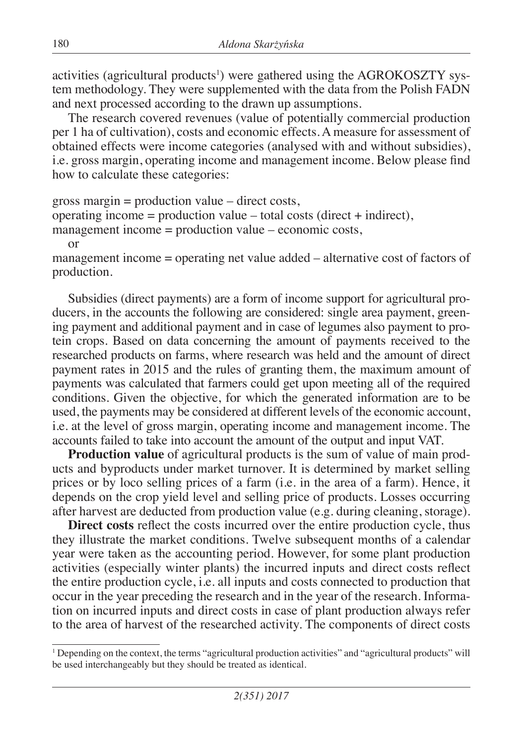activities (agricultural products<sup>1</sup>) were gathered using the AGROKOSZTY system methodology. They were supplemented with the data from the Polish FADN and next processed according to the drawn up assumptions.

The research covered revenues (value of potentially commercial production per 1 ha of cultivation), costs and economic effects. A measure for assessment of obtained effects were income categories (analysed with and without subsidies), i.e. gross margin, operating income and management income. Below please find how to calculate these categories:

```
gross margin = production value – direct costs,
operating income = production value – total costs (direct + indirect),
management income = production value – economic costs,
   or
```
management income = operating net value added – alternative cost of factors of production.

Subsidies (direct payments) are a form of income support for agricultural producers, in the accounts the following are considered: single area payment, greening payment and additional payment and in case of legumes also payment to protein crops. Based on data concerning the amount of payments received to the researched products on farms, where research was held and the amount of direct payment rates in 2015 and the rules of granting them, the maximum amount of payments was calculated that farmers could get upon meeting all of the required conditions. Given the objective, for which the generated information are to be used, the payments may be considered at different levels of the economic account, i.e. at the level of gross margin, operating income and management income. The accounts failed to take into account the amount of the output and input VAT.

**Production value** of agricultural products is the sum of value of main products and byproducts under market turnover. It is determined by market selling prices or by loco selling prices of a farm (i.e. in the area of a farm). Hence, it depends on the crop yield level and selling price of products. Losses occurring after harvest are deducted from production value (e.g. during cleaning, storage).

**Direct costs** reflect the costs incurred over the entire production cycle, thus they illustrate the market conditions. Twelve subsequent months of a calendar year were taken as the accounting period. However, for some plant production activities (especially winter plants) the incurred inputs and direct costs reflect the entire production cycle, i.e. all inputs and costs connected to production that occur in the year preceding the research and in the year of the research. Information on incurred inputs and direct costs in case of plant production always refer to the area of harvest of the researched activity. The components of direct costs

<sup>1</sup> Depending on the context, the terms "agricultural production activities" and "agricultural products" will be used interchangeably but they should be treated as identical.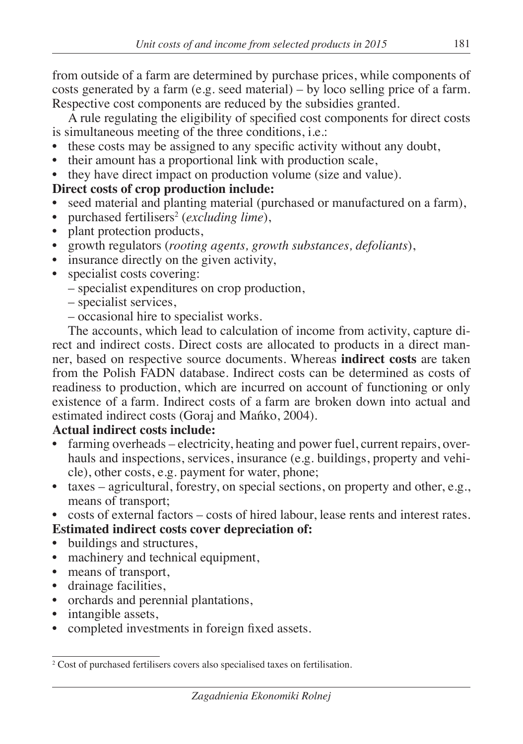from outside of a farm are determined by purchase prices, while components of costs generated by a farm (e.g. seed material) – by loco selling price of a farm. Respective cost components are reduced by the subsidies granted.

A rule regulating the eligibility of specified cost components for direct costs is simultaneous meeting of the three conditions, i.e.:

- these costs may be assigned to any specific activity without any doubt,
- their amount has a proportional link with production scale,
- they have direct impact on production volume (size and value).

# **Direct costs of crop production include:**

- seed material and planting material (purchased or manufactured on a farm),
- purchased fertilisers<sup>2</sup> (*excluding lime*),
- plant protection products,
- growth regulators (*rooting agents, growth substances, defoliants*),
- insurance directly on the given activity,
- specialist costs covering:
	- specialist expenditures on crop production,
	- specialist services,
	- occasional hire to specialist works.

The accounts, which lead to calculation of income from activity, capture direct and indirect costs. Direct costs are allocated to products in a direct manner, based on respective source documents. Whereas **indirect costs** are taken from the Polish FADN database. Indirect costs can be determined as costs of readiness to production, which are incurred on account of functioning or only existence of a farm. Indirect costs of a farm are broken down into actual and estimated indirect costs (Goraj and Mańko, 2004).

# **Actual indirect costs include:**

- farming overheads electricity, heating and power fuel, current repairs, overhauls and inspections, services, insurance (e.g. buildings, property and vehicle), other costs, e.g. payment for water, phone;
- taxes agricultural, forestry, on special sections, on property and other, e.g., means of transport;
- costs of external factors costs of hired labour, lease rents and interest rates. **Estimated indirect costs cover depreciation of:**
- buildings and structures,
- machinery and technical equipment,
- means of transport,
- drainage facilities,
- orchards and perennial plantations,
- intangible assets,
- completed investments in foreign fixed assets.

<sup>&</sup>lt;sup>2</sup> Cost of purchased fertilisers covers also specialised taxes on fertilisation.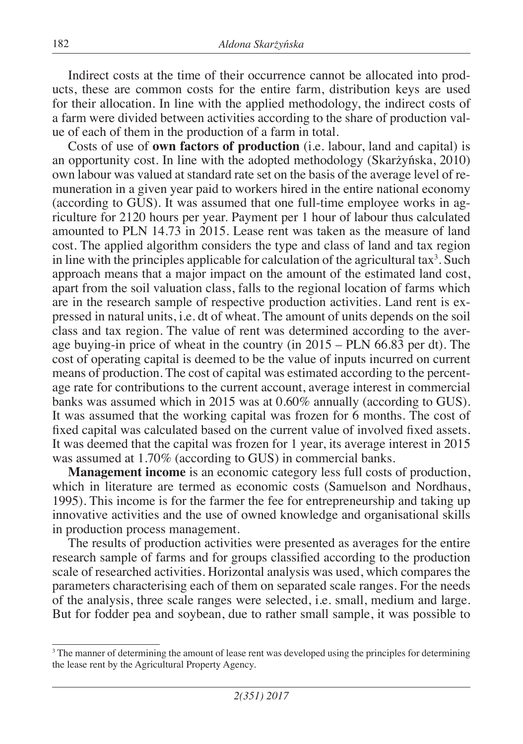Indirect costs at the time of their occurrence cannot be allocated into products, these are common costs for the entire farm, distribution keys are used for their allocation. In line with the applied methodology, the indirect costs of a farm were divided between activities according to the share of production value of each of them in the production of a farm in total.

Costs of use of **own factors of production** (i.e. labour, land and capital) is an opportunity cost. In line with the adopted methodology (Skarżyńska, 2010) own labour was valued at standard rate set on the basis of the average level of remuneration in a given year paid to workers hired in the entire national economy (according to GUS). It was assumed that one full-time employee works in agriculture for 2120 hours per year. Payment per 1 hour of labour thus calculated amounted to PLN 14.73 in 2015. Lease rent was taken as the measure of land cost. The applied algorithm considers the type and class of land and tax region in line with the principles applicable for calculation of the agricultural tax<sup>3</sup>. Such approach means that a major impact on the amount of the estimated land cost, apart from the soil valuation class, falls to the regional location of farms which are in the research sample of respective production activities. Land rent is expressed in natural units, i.e. dt of wheat. The amount of units depends on the soil class and tax region. The value of rent was determined according to the average buying-in price of wheat in the country (in 2015 – PLN 66.83 per dt). The cost of operating capital is deemed to be the value of inputs incurred on current means of production. The cost of capital was estimated according to the percentage rate for contributions to the current account, average interest in commercial banks was assumed which in 2015 was at 0.60% annually (according to GUS). It was assumed that the working capital was frozen for 6 months. The cost of fixed capital was calculated based on the current value of involved fixed assets. It was deemed that the capital was frozen for 1 year, its average interest in 2015 was assumed at 1.70% (according to GUS) in commercial banks.

**Management income** is an economic category less full costs of production, which in literature are termed as economic costs (Samuelson and Nordhaus, 1995). This income is for the farmer the fee for entrepreneurship and taking up innovative activities and the use of owned knowledge and organisational skills in production process management.

The results of production activities were presented as averages for the entire research sample of farms and for groups classified according to the production scale of researched activities. Horizontal analysis was used, which compares the parameters characterising each of them on separated scale ranges. For the needs of the analysis, three scale ranges were selected, i.e. small, medium and large. But for fodder pea and soybean, due to rather small sample, it was possible to

<sup>&</sup>lt;sup>3</sup> The manner of determining the amount of lease rent was developed using the principles for determining the lease rent by the Agricultural Property Agency.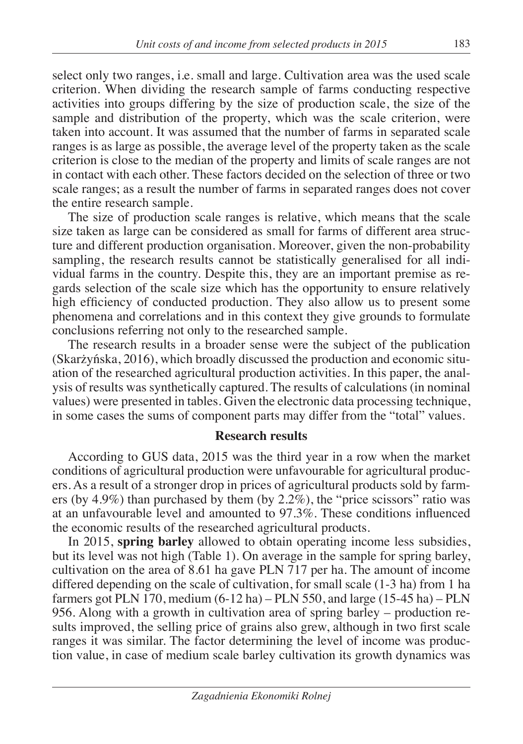select only two ranges, i.e. small and large. Cultivation area was the used scale criterion. When dividing the research sample of farms conducting respective activities into groups differing by the size of production scale, the size of the sample and distribution of the property, which was the scale criterion, were taken into account. It was assumed that the number of farms in separated scale ranges is as large as possible, the average level of the property taken as the scale criterion is close to the median of the property and limits of scale ranges are not in contact with each other. These factors decided on the selection of three or two scale ranges; as a result the number of farms in separated ranges does not cover the entire research sample.

The size of production scale ranges is relative, which means that the scale size taken as large can be considered as small for farms of different area structure and different production organisation. Moreover, given the non-probability sampling, the research results cannot be statistically generalised for all individual farms in the country. Despite this, they are an important premise as regards selection of the scale size which has the opportunity to ensure relatively high efficiency of conducted production. They also allow us to present some phenomena and correlations and in this context they give grounds to formulate conclusions referring not only to the researched sample.

The research results in a broader sense were the subject of the publication (Skarżyńska, 2016), which broadly discussed the production and economic situation of the researched agricultural production activities. In this paper, the analysis of results was synthetically captured. The results of calculations (in nominal values) were presented in tables. Given the electronic data processing technique, in some cases the sums of component parts may differ from the "total" values.

# **Research results**

According to GUS data, 2015 was the third year in a row when the market conditions of agricultural production were unfavourable for agricultural producers. As a result of a stronger drop in prices of agricultural products sold by farmers (by 4.9%) than purchased by them (by 2.2%), the "price scissors" ratio was at an unfavourable level and amounted to 97.3%. These conditions influenced the economic results of the researched agricultural products.

In 2015, **spring barley** allowed to obtain operating income less subsidies, but its level was not high (Table 1). On average in the sample for spring barley, cultivation on the area of 8.61 ha gave PLN 717 per ha. The amount of income differed depending on the scale of cultivation, for small scale (1-3 ha) from 1 ha farmers got PLN 170, medium  $(6-12 \text{ ha}) - \text{PLN}$  550, and large  $(15-45 \text{ ha}) - \text{PLN}$ 956. Along with a growth in cultivation area of spring barley – production results improved, the selling price of grains also grew, although in two first scale ranges it was similar. The factor determining the level of income was production value, in case of medium scale barley cultivation its growth dynamics was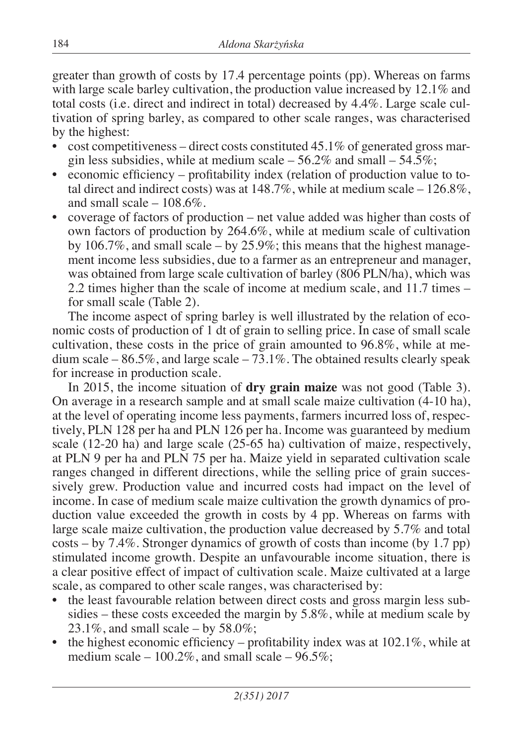greater than growth of costs by 17.4 percentage points (pp). Whereas on farms with large scale barley cultivation, the production value increased by 12.1% and total costs (i.e. direct and indirect in total) decreased by 4.4%. Large scale cultivation of spring barley, as compared to other scale ranges, was characterised by the highest:

- $\cot$  cost competitiveness direct costs constituted 45.1% of generated gross margin less subsidies, while at medium scale  $-56.2\%$  and small  $-54.5\%$ ;
- economic efficiency profitability index (relation of production value to total direct and indirect costs) was at  $148.7\%$ , while at medium scale  $-126.8\%$ . and small scale  $-108.6\%$ .
- coverage of factors of production net value added was higher than costs of own factors of production by 264.6%, while at medium scale of cultivation by 106.7%, and small scale – by 25.9%; this means that the highest management income less subsidies, due to a farmer as an entrepreneur and manager, was obtained from large scale cultivation of barley (806 PLN/ha), which was 2.2 times higher than the scale of income at medium scale, and 11.7 times – for small scale (Table 2).

The income aspect of spring barley is well illustrated by the relation of economic costs of production of 1 dt of grain to selling price. In case of small scale cultivation, these costs in the price of grain amounted to 96.8%, while at medium scale –  $86.5\%$ , and large scale –  $73.1\%$ . The obtained results clearly speak for increase in production scale.

In 2015, the income situation of **dry grain maize** was not good (Table 3). On average in a research sample and at small scale maize cultivation (4-10 ha), at the level of operating income less payments, farmers incurred loss of, respectively, PLN 128 per ha and PLN 126 per ha. Income was guaranteed by medium scale (12-20 ha) and large scale (25-65 ha) cultivation of maize, respectively, at PLN 9 per ha and PLN 75 per ha. Maize yield in separated cultivation scale ranges changed in different directions, while the selling price of grain successively grew. Production value and incurred costs had impact on the level of income. In case of medium scale maize cultivation the growth dynamics of production value exceeded the growth in costs by 4 pp. Whereas on farms with large scale maize cultivation, the production value decreased by 5.7% and total costs – by 7.4%. Stronger dynamics of growth of costs than income (by 1.7 pp) stimulated income growth. Despite an unfavourable income situation, there is a clear positive effect of impact of cultivation scale. Maize cultivated at a large scale, as compared to other scale ranges, was characterised by:

- the least favourable relation between direct costs and gross margin less subsidies – these costs exceeded the margin by 5.8%, while at medium scale by 23.1%, and small scale – by 58.0%;
- the highest economic efficiency profitability index was at  $102.1\%$ , while at medium scale –  $100.2\%$ , and small scale –  $96.5\%$ ;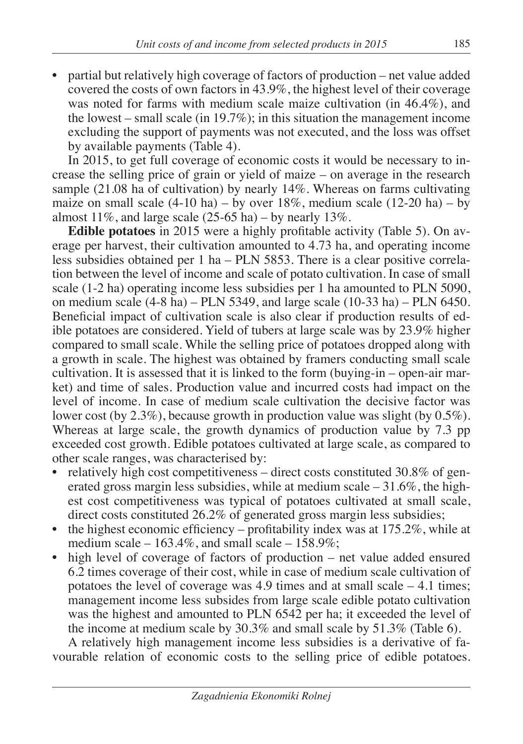• partial but relatively high coverage of factors of production – net value added covered the costs of own factors in 43.9%, the highest level of their coverage was noted for farms with medium scale maize cultivation (in 46.4%), and the lowest – small scale (in 19.7%); in this situation the management income excluding the support of payments was not executed, and the loss was offset by available payments (Table 4).

In 2015, to get full coverage of economic costs it would be necessary to increase the selling price of grain or yield of maize – on average in the research sample (21.08 ha of cultivation) by nearly 14%. Whereas on farms cultivating maize on small scale  $(4-10 \text{ ha}) - by$  over  $18\%$ , medium scale  $(12-20 \text{ ha}) - by$ almost  $11\%$ , and large scale (25-65 ha) – by nearly  $13\%$ .

**Edible potatoes** in 2015 were a highly profitable activity (Table 5). On average per harvest, their cultivation amounted to 4.73 ha, and operating income less subsidies obtained per 1 ha – PLN 5853. There is a clear positive correlation between the level of income and scale of potato cultivation. In case of small scale (1-2 ha) operating income less subsidies per 1 ha amounted to PLN 5090, on medium scale  $(4-8$  ha) – PLN 5349, and large scale  $(10-33$  ha) – PLN 6450. Beneficial impact of cultivation scale is also clear if production results of edible potatoes are considered. Yield of tubers at large scale was by 23.9% higher compared to small scale. While the selling price of potatoes dropped along with a growth in scale. The highest was obtained by framers conducting small scale cultivation. It is assessed that it is linked to the form (buying-in – open-air market) and time of sales. Production value and incurred costs had impact on the level of income. In case of medium scale cultivation the decisive factor was lower cost (by 2.3%), because growth in production value was slight (by 0.5%). Whereas at large scale, the growth dynamics of production value by 7.3 pp exceeded cost growth. Edible potatoes cultivated at large scale, as compared to other scale ranges, was characterised by:

- relatively high cost competitiveness direct costs constituted 30.8% of generated gross margin less subsidies, while at medium scale  $-31.6\%$ , the highest cost competitiveness was typical of potatoes cultivated at small scale, direct costs constituted 26.2% of generated gross margin less subsidies;
- the highest economic efficiency profitability index was at  $175.2\%$ , while at medium scale –  $163.4\%$ , and small scale –  $158.9\%$ ;
- high level of coverage of factors of production net value added ensured 6.2 times coverage of their cost, while in case of medium scale cultivation of potatoes the level of coverage was 4.9 times and at small scale  $-4.1$  times; management income less subsides from large scale edible potato cultivation was the highest and amounted to PLN 6542 per ha; it exceeded the level of the income at medium scale by 30.3% and small scale by 51.3% (Table 6).

A relatively high management income less subsidies is a derivative of favourable relation of economic costs to the selling price of edible potatoes.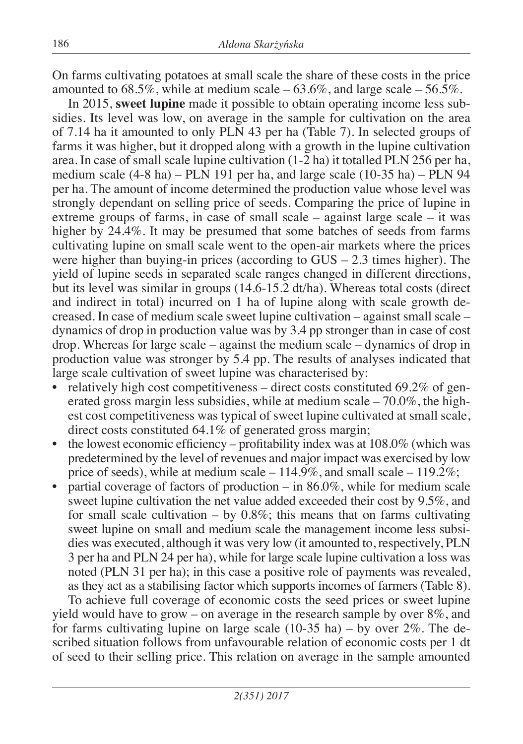On farms cultivating potatoes at small scale the share of these costs in the price amounted to  $68.5\%$ , while at medium scale  $-63.6\%$ , and large scale  $-56.5\%$ .

In 2015, **sweet lupine** made it possible to obtain operating income less subsidies. Its level was low, on average in the sample for cultivation on the area of 7.14 ha it amounted to only PLN 43 per ha (Table 7). In selected groups of farms it was higher, but it dropped along with a growth in the lupine cultivation area. In case of small scale lupine cultivation (1-2 ha) it totalled PLN 256 per ha, medium scale (4-8 ha) – PLN 191 per ha, and large scale (10-35 ha) – PLN 94 per ha. The amount of income determined the production value whose level was strongly dependant on selling price of seeds. Comparing the price of lupine in extreme groups of farms, in case of small scale – against large scale – it was higher by 24.4%. It may be presumed that some batches of seeds from farms cultivating lupine on small scale went to the open-air markets where the prices were higher than buying-in prices (according to GUS – 2.3 times higher). The yield of lupine seeds in separated scale ranges changed in different directions, but its level was similar in groups (14.6-15.2 dt/ha). Whereas total costs (direct and indirect in total) incurred on 1 ha of lupine along with scale growth decreased. In case of medium scale sweet lupine cultivation – against small scale – dynamics of drop in production value was by 3.4 pp stronger than in case of cost drop. Whereas for large scale – against the medium scale – dynamics of drop in production value was stronger by 5.4 pp. The results of analyses indicated that large scale cultivation of sweet lupine was characterised by:

- relatively high cost competitiveness direct costs constituted  $69.2\%$  of generated gross margin less subsidies, while at medium scale  $-70.0\%$ , the highest cost competitiveness was typical of sweet lupine cultivated at small scale, direct costs constituted 64.1% of generated gross margin;
- the lowest economic efficiency profitability index was at  $108.0\%$  (which was predetermined by the level of revenues and major impact was exercised by low price of seeds), while at medium scale  $-114.9\%$ , and small scale  $-119.2\%$ ;
- partial coverage of factors of production in  $86.0\%$ , while for medium scale sweet lupine cultivation the net value added exceeded their cost by 9.5%, and for small scale cultivation – by  $0.8\%$ ; this means that on farms cultivating sweet lupine on small and medium scale the management income less subsidies was executed, although it was very low (it amounted to, respectively, PLN 3 per ha and PLN 24 per ha), while for large scale lupine cultivation a loss was noted (PLN 31 per ha); in this case a positive role of payments was revealed, as they act as a stabilising factor which supports incomes of farmers (Table 8).

To achieve full coverage of economic costs the seed prices or sweet lupine yield would have to grow – on average in the research sample by over  $8\%$ , and for farms cultivating lupine on large scale  $(10-35$  ha) – by over  $2\%$ . The described situation follows from unfavourable relation of economic costs per 1 dt of seed to their selling price. This relation on average in the sample amounted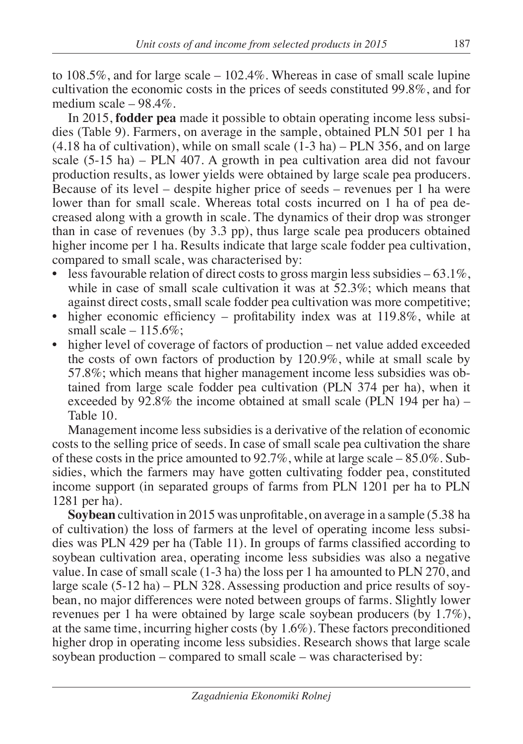to 108.5%, and for large scale – 102.4%. Whereas in case of small scale lupine cultivation the economic costs in the prices of seeds constituted 99.8%, and for medium scale – 98.4%.

In 2015, **fodder pea** made it possible to obtain operating income less subsidies (Table 9). Farmers, on average in the sample, obtained PLN 501 per 1 ha (4.18 ha of cultivation), while on small scale (1-3 ha) – PLN 356, and on large scale (5-15 ha) – PLN 407. A growth in pea cultivation area did not favour production results, as lower yields were obtained by large scale pea producers. Because of its level – despite higher price of seeds – revenues per 1 ha were lower than for small scale. Whereas total costs incurred on 1 ha of pea decreased along with a growth in scale. The dynamics of their drop was stronger than in case of revenues (by 3.3 pp), thus large scale pea producers obtained higher income per 1 ha. Results indicate that large scale fodder pea cultivation, compared to small scale, was characterised by:

- less favourable relation of direct costs to gross margin less subsidies  $-63.1\%$ , while in case of small scale cultivation it was at 52.3%; which means that against direct costs, small scale fodder pea cultivation was more competitive;
- higher economic efficiency profitability index was at 119.8%, while at small scale  $-115.6\%$ ;
- higher level of coverage of factors of production net value added exceeded the costs of own factors of production by 120.9%, while at small scale by 57.8%; which means that higher management income less subsidies was obtained from large scale fodder pea cultivation (PLN 374 per ha), when it exceeded by 92.8% the income obtained at small scale (PLN 194 per ha) – Table 10.

Management income less subsidies is a derivative of the relation of economic costs to the selling price of seeds. In case of small scale pea cultivation the share of these costs in the price amounted to  $92.7\%$ , while at large scale –  $85.0\%$ . Subsidies, which the farmers may have gotten cultivating fodder pea, constituted income support (in separated groups of farms from PLN 1201 per ha to PLN 1281 per ha).

**Soybean** cultivation in 2015 was unprofitable, on average in a sample (5.38 ha of cultivation) the loss of farmers at the level of operating income less subsidies was PLN 429 per ha (Table 11). In groups of farms classified according to soybean cultivation area, operating income less subsidies was also a negative value. In case of small scale (1-3 ha) the loss per 1 ha amounted to PLN 270, and large scale (5-12 ha) – PLN 328. Assessing production and price results of soybean, no major differences were noted between groups of farms. Slightly lower revenues per 1 ha were obtained by large scale soybean producers (by 1.7%), at the same time, incurring higher costs (by 1.6%). These factors preconditioned higher drop in operating income less subsidies. Research shows that large scale soybean production – compared to small scale – was characterised by: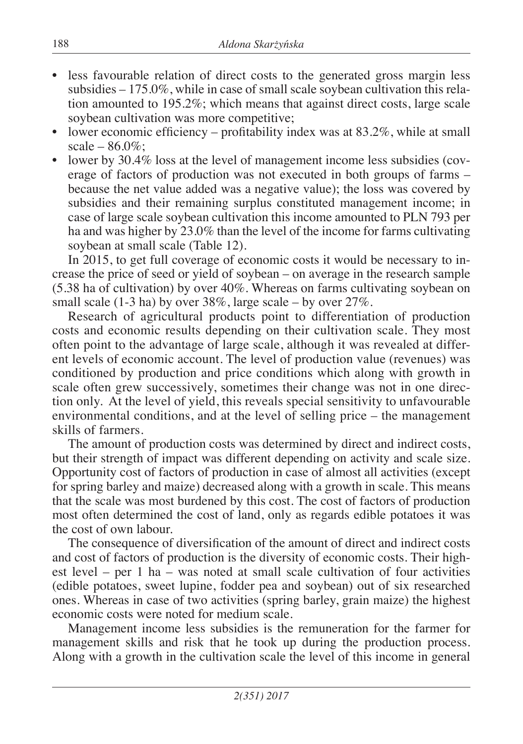- less favourable relation of direct costs to the generated gross margin less subsidies – 175.0%, while in case of small scale soybean cultivation this relation amounted to 195.2%; which means that against direct costs, large scale soybean cultivation was more competitive;
- lower economic efficiency profitability index was at  $83.2\%$ , while at small scale –  $86.0\%$ ;
- lower by 30.4% loss at the level of management income less subsidies (coverage of factors of production was not executed in both groups of farms – because the net value added was a negative value); the loss was covered by subsidies and their remaining surplus constituted management income; in case of large scale soybean cultivation this income amounted to PLN 793 per ha and was higher by 23.0% than the level of the income for farms cultivating soybean at small scale (Table 12).

In 2015, to get full coverage of economic costs it would be necessary to increase the price of seed or yield of soybean – on average in the research sample (5.38 ha of cultivation) by over 40%. Whereas on farms cultivating soybean on small scale (1-3 ha) by over 38%, large scale – by over 27%.

Research of agricultural products point to differentiation of production costs and economic results depending on their cultivation scale. They most often point to the advantage of large scale, although it was revealed at different levels of economic account. The level of production value (revenues) was conditioned by production and price conditions which along with growth in scale often grew successively, sometimes their change was not in one direction only. At the level of yield, this reveals special sensitivity to unfavourable environmental conditions, and at the level of selling price – the management skills of farmers.

The amount of production costs was determined by direct and indirect costs, but their strength of impact was different depending on activity and scale size. Opportunity cost of factors of production in case of almost all activities (except for spring barley and maize) decreased along with a growth in scale. This means that the scale was most burdened by this cost. The cost of factors of production most often determined the cost of land, only as regards edible potatoes it was the cost of own labour.

The consequence of diversification of the amount of direct and indirect costs and cost of factors of production is the diversity of economic costs. Their highest level – per 1 ha – was noted at small scale cultivation of four activities (edible potatoes, sweet lupine, fodder pea and soybean) out of six researched ones. Whereas in case of two activities (spring barley, grain maize) the highest economic costs were noted for medium scale.

Management income less subsidies is the remuneration for the farmer for management skills and risk that he took up during the production process. Along with a growth in the cultivation scale the level of this income in general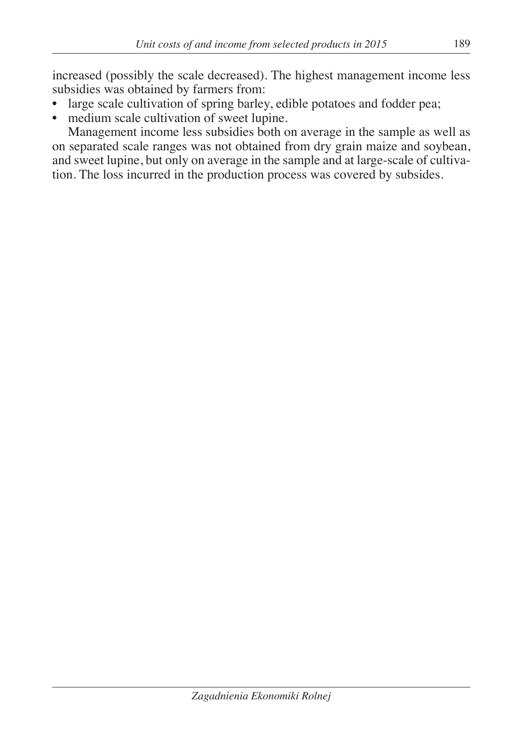increased (possibly the scale decreased). The highest management income less subsidies was obtained by farmers from:

- large scale cultivation of spring barley, edible potatoes and fodder pea;
- medium scale cultivation of sweet lupine.

Management income less subsidies both on average in the sample as well as on separated scale ranges was not obtained from dry grain maize and soybean, and sweet lupine, but only on average in the sample and at large-scale of cultivation. The loss incurred in the production process was covered by subsides.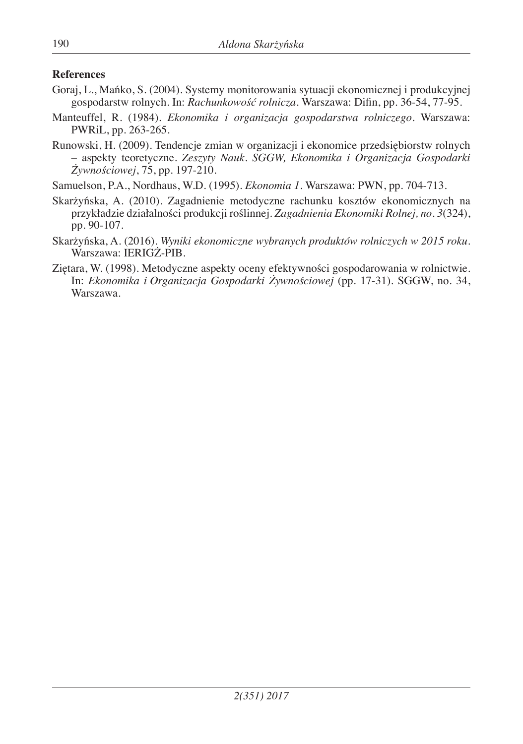### **References**

- Goraj, L., Mańko, S. (2004). Systemy monitorowania sytuacji ekonomicznej i produkcyjnej gospodarstw rolnych. In: *Rachunkowość rolnicza.* Warszawa: Difin, pp. 36-54, 77-95.
- Manteuffel, R. (1984). *Ekonomika i organizacja gospodarstwa rolniczego*. Warszawa: PWRiL, pp. 263-265.
- Runowski, H. (2009). Tendencje zmian w organizacji i ekonomice przedsiębiorstw rolnych – aspekty teoretyczne. *Zeszyty Nauk. SGGW, Ekonomika i Organizacja Gospodarki Żywnościowej*, 75, pp. 197-210.
- Samuelson, P.A., Nordhaus, W.D. (1995). *Ekonomia 1*. Warszawa: PWN, pp. 704-713.
- Skarżyńska, A. (2010). Zagadnienie metodyczne rachunku kosztów ekonomicznych na przykładzie działalności produkcji roślinnej. *Zagadnienia Ekonomiki Rolnej, no. 3*(324), pp. 90-107.
- Skarżyńska, A. (2016). *Wyniki ekonomiczne wybranych produktów rolniczych w 2015 roku*. Warszawa: IERIGŻ-PIB.
- Ziętara, W. (1998). Metodyczne aspekty oceny efektywności gospodarowania w rolnictwie. In: *Ekonomika i Organizacja Gospodarki Żywnościowej* (pp. 17-31). SGGW, no. 34, Warszawa.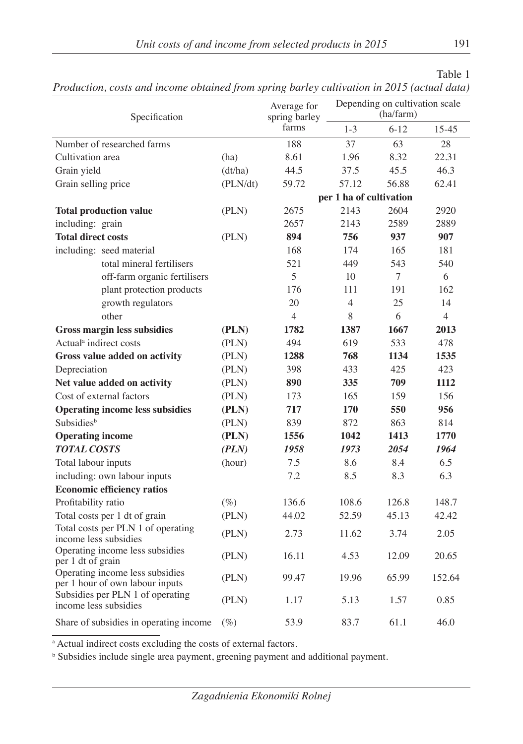| ۰.<br>v |
|---------|
|---------|

| Specification                 |                                                                    |          | $\cdots$ o<br>Average for<br>spring barley | Depending on cultivation scale<br>(ha/farm) |          |                |
|-------------------------------|--------------------------------------------------------------------|----------|--------------------------------------------|---------------------------------------------|----------|----------------|
|                               |                                                                    |          | farms                                      | $1 - 3$                                     | $6 - 12$ | 15-45          |
|                               | Number of researched farms                                         |          | 188                                        | 37                                          | 63       | 28             |
| Cultivation area              |                                                                    | (ha)     | 8.61                                       | 1.96                                        | 8.32     | 22.31          |
| Grain yield                   |                                                                    | (dt/ha)  | 44.5                                       | 37.5                                        | 45.5     | 46.3           |
| Grain selling price           |                                                                    | (PLN/dt) | 59.72                                      | 57.12                                       | 56.88    | 62.41          |
|                               |                                                                    |          |                                            | per 1 ha of cultivation                     |          |                |
|                               | <b>Total production value</b>                                      | (PLN)    | 2675                                       | 2143                                        | 2604     | 2920           |
| including: grain              |                                                                    |          | 2657                                       | 2143                                        | 2589     | 2889           |
| <b>Total direct costs</b>     |                                                                    | (PLN)    | 894                                        | 756                                         | 937      | 907            |
|                               | including: seed material                                           |          | 168                                        | 174                                         | 165      | 181            |
|                               | total mineral fertilisers                                          |          | 521                                        | 449                                         | 543      | 540            |
|                               | off-farm organic fertilisers                                       |          | 5                                          | 10                                          | $\tau$   | 6              |
|                               | plant protection products                                          |          | 176                                        | 111                                         | 191      | 162            |
|                               | growth regulators                                                  |          | 20                                         | $\overline{4}$                              | 25       | 14             |
|                               | other                                                              |          | 4                                          | 8                                           | 6        | $\overline{4}$ |
|                               | <b>Gross margin less subsidies</b>                                 | (PLN)    | 1782                                       | 1387                                        | 1667     | 2013           |
|                               | Actual <sup>a</sup> indirect costs                                 | (PLN)    | 494                                        | 619                                         | 533      | 478            |
| Gross value added on activity |                                                                    | (PLN)    | 1288                                       | 768                                         | 1134     | 1535           |
| Depreciation                  |                                                                    | (PLN)    | 398                                        | 433                                         | 425      | 423            |
|                               | Net value added on activity                                        | (PLN)    | 890                                        | 335                                         | 709      | 1112           |
|                               | Cost of external factors                                           | (PLN)    | 173                                        | 165                                         | 159      | 156            |
|                               | <b>Operating income less subsidies</b>                             | (PLN)    | 717                                        | 170                                         | 550      | 956            |
| Subsidies <sup>b</sup>        |                                                                    | (PLN)    | 839                                        | 872                                         | 863      | 814            |
| <b>Operating income</b>       |                                                                    | (PLN)    | 1556                                       | 1042                                        | 1413     | 1770           |
| <b>TOTAL COSTS</b>            |                                                                    | (PLN)    | 1958                                       | 1973                                        | 2054     | 1964           |
| Total labour inputs           |                                                                    | (hour)   | 7.5                                        | 8.6                                         | 8.4      | 6.5            |
|                               | including: own labour inputs                                       |          | 7.2                                        | 8.5                                         | 8.3      | 6.3            |
|                               | <b>Economic efficiency ratios</b>                                  |          |                                            |                                             |          |                |
| Profitability ratio           |                                                                    | $(\%)$   | 136.6                                      | 108.6                                       | 126.8    | 148.7          |
|                               | Total costs per 1 dt of grain                                      | (PLN)    | 44.02                                      | 52.59                                       | 45.13    | 42.42          |
|                               | Total costs per PLN 1 of operating<br>income less subsidies        | (PLN)    | 2.73                                       | 11.62                                       | 3.74     | 2.05           |
| per 1 dt of grain             | Operating income less subsidies                                    | (PLN)    | 16.11                                      | 4.53                                        | 12.09    | 20.65          |
|                               | Operating income less subsidies<br>per 1 hour of own labour inputs | (PLN)    | 99.47                                      | 19.96                                       | 65.99    | 152.64         |
|                               | Subsidies per PLN 1 of operating<br>income less subsidies          | (PLN)    | 1.17                                       | 5.13                                        | 1.57     | 0.85           |
|                               | Share of subsidies in operating income                             | $(\%)$   | 53.9                                       | 83.7                                        | 61.1     | 46.0           |

*Production, costs and income obtained from spring barley cultivation in 2015 (actual data)*

a Actual indirect costs excluding the costs of external factors.

<sup>b</sup> Subsidies include single area payment, greening payment and additional payment.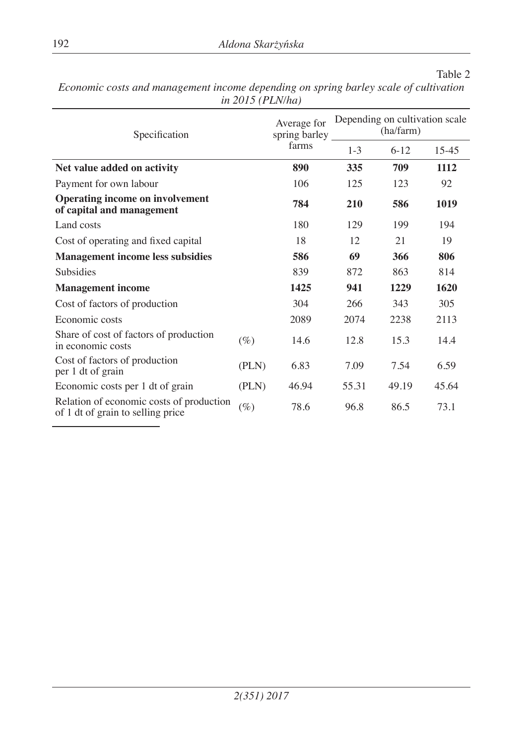| Specification                                                                 |        | Average for<br>spring barley | Depending on cultivation scale<br>(ha/farm) |          |           |
|-------------------------------------------------------------------------------|--------|------------------------------|---------------------------------------------|----------|-----------|
|                                                                               |        | farms                        | $1 - 3$                                     | $6 - 12$ | $15 - 45$ |
| Net value added on activity                                                   | 890    | 335                          | 709                                         | 1112     |           |
| Payment for own labour                                                        |        | 106                          | 125                                         | 123      | 92        |
| <b>Operating income on involvement</b><br>of capital and management           |        | 784                          | 210                                         | 586      | 1019      |
| Land costs                                                                    |        | 180                          | 129                                         | 199      | 194       |
| Cost of operating and fixed capital                                           |        | 18                           | 12                                          | 21       | 19        |
| <b>Management income less subsidies</b>                                       | 586    | 69                           | 366                                         | 806      |           |
| <b>Subsidies</b>                                                              |        | 839                          | 872                                         | 863      | 814       |
| <b>Management</b> income                                                      |        | 1425                         | 941                                         | 1229     | 1620      |
| Cost of factors of production                                                 |        | 304                          | 266                                         | 343      | 305       |
| Economic costs                                                                |        | 2089                         | 2074                                        | 2238     | 2113      |
| Share of cost of factors of production<br>in economic costs                   | $(\%)$ | 14.6                         | 12.8                                        | 15.3     | 14.4      |
| Cost of factors of production<br>per 1 dt of grain                            | (PLN)  | 6.83                         | 7.09                                        | 7.54     | 6.59      |
| Economic costs per 1 dt of grain                                              | (PLN)  | 46.94                        | 55.31                                       | 49.19    | 45.64     |
| Relation of economic costs of production<br>of 1 dt of grain to selling price | $(\%)$ | 78.6                         | 96.8                                        | 86.5     | 73.1      |

*Economic costs and management income depending on spring barley scale of cultivation in 2015 (PLN/ha)*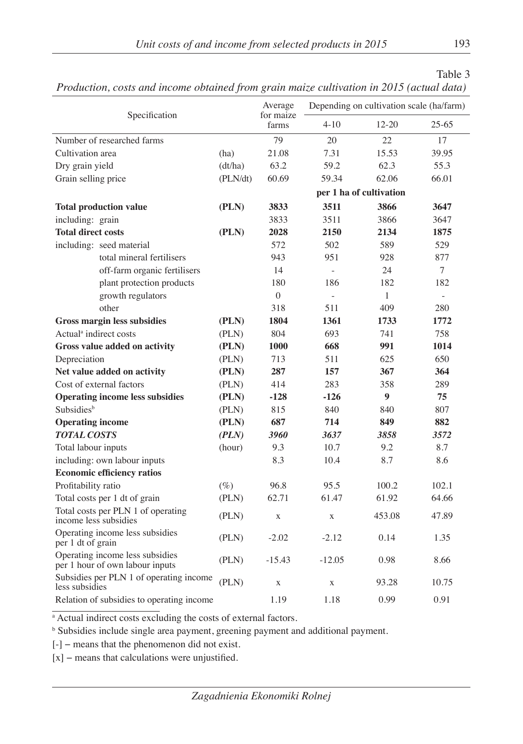| 1 юйисныя, созіз ини інсоте обнитей јгот зтат тагле синтраноп ін 2019 (истан шин) |          |                      |                |                                          |                          |
|-----------------------------------------------------------------------------------|----------|----------------------|----------------|------------------------------------------|--------------------------|
| Specification                                                                     |          | Average<br>for maize |                | Depending on cultivation scale (ha/farm) |                          |
|                                                                                   |          | farms                | $4 - 10$       | $12 - 20$                                | $25 - 65$                |
| Number of researched farms                                                        |          | 79                   | 20             | 22                                       | 17                       |
| Cultivation area                                                                  | (ha)     | 21.08                | 7.31           | 15.53                                    | 39.95                    |
| Dry grain yield                                                                   | (dt/ha)  | 63.2                 | 59.2           | 62.3                                     | 55.3                     |
| Grain selling price                                                               | (PLN/dt) | 60.69                | 59.34          | 62.06                                    | 66.01                    |
|                                                                                   |          |                      |                | per 1 ha of cultivation                  |                          |
| <b>Total production value</b>                                                     | (PLN)    | 3833                 | 3511           | 3866                                     | 3647                     |
| including: grain                                                                  |          | 3833                 | 3511           | 3866                                     | 3647                     |
| <b>Total direct costs</b>                                                         | (PLN)    | 2028                 | 2150           | 2134                                     | 1875                     |
| including: seed material                                                          |          | 572                  | 502            | 589                                      | 529                      |
| total mineral fertilisers                                                         |          | 943                  | 951            | 928                                      | 877                      |
| off-farm organic fertilisers                                                      |          | 14                   | ÷,             | 24                                       | 7                        |
| plant protection products                                                         |          | 180                  | 186            | 182                                      | 182                      |
| growth regulators                                                                 |          | $\overline{0}$       | $\overline{a}$ | $\mathbf{1}$                             | $\overline{\phantom{a}}$ |
| other                                                                             |          | 318                  | 511            | 409                                      | 280                      |
| <b>Gross margin less subsidies</b>                                                | (PLN)    | 1804                 | 1361           | 1733                                     | 1772                     |
| Actual <sup>a</sup> indirect costs                                                | (PLN)    | 804                  | 693            | 741                                      | 758                      |
| Gross value added on activity                                                     | (PLN)    | 1000                 | 668            | 991                                      | 1014                     |
| Depreciation                                                                      | (PLN)    | 713                  | 511            | 625                                      | 650                      |
| Net value added on activity                                                       | (PLN)    | 287                  | 157            | 367                                      | 364                      |
| Cost of external factors                                                          | (PLN)    | 414                  | 283            | 358                                      | 289                      |
| <b>Operating income less subsidies</b>                                            | (PLN)    | $-128$               | $-126$         | 9                                        | 75                       |
| <b>Subsidies</b> <sup>b</sup>                                                     | (PLN)    | 815                  | 840            | 840                                      | 807                      |
| <b>Operating income</b>                                                           | (PLN)    | 687                  | 714            | 849                                      | 882                      |
| <b>TOTAL COSTS</b>                                                                | (PLN)    | 3960                 | 3637           | 3858                                     | 3572                     |
| Total labour inputs                                                               | (hour)   | 9.3                  | 10.7           | 9.2                                      | 8.7                      |
| including: own labour inputs                                                      |          | 8.3                  | 10.4           | 8.7                                      | 8.6                      |
| <b>Economic efficiency ratios</b>                                                 |          |                      |                |                                          |                          |
| Profitability ratio                                                               | $(\%)$   | 96.8                 | 95.5           | 100.2                                    | 102.1                    |
| Total costs per 1 dt of grain                                                     | (PLN)    | 62.71                | 61.47          | 61.92                                    | 64.66                    |
| Total costs per PLN 1 of operating<br>income less subsidies                       | (PLN)    | $\bar{X}$            | $\mathbf X$    | 453.08                                   | 47.89                    |
| Operating income less subsidies<br>per 1 dt of grain                              | (PLN)    | $-2.02$              | $-2.12$        | 0.14                                     | 1.35                     |
| Operating income less subsidies<br>per 1 hour of own labour inputs                | (PLN)    | $-15.43$             | $-12.05$       | 0.98                                     | 8.66                     |
| Subsidies per PLN 1 of operating income<br>less subsidies                         | (PLN)    | $\mathbf x$          | X              | 93.28                                    | 10.75                    |
| Relation of subsidies to operating income                                         |          | 1.19                 | 1.18           | 0.99                                     | 0.91                     |

*Production, costs and income obtained from grain maize cultivation in 2015 (actual data)*

<sup>a</sup> Actual indirect costs excluding the costs of external factors.

b Subsidies include single area payment, greening payment and additional payment.

[-] − means that the phenomenon did not exist.

[x] – means that calculations were unjustified.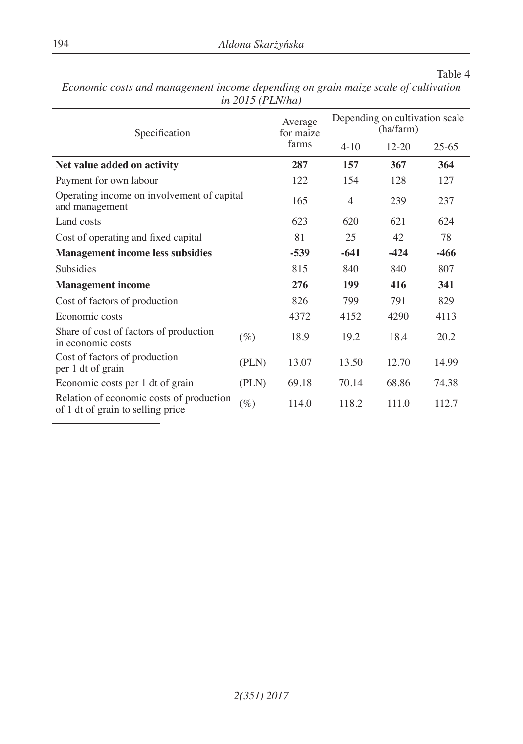| Specification                                                                 |        | Average<br>for maize | Depending on cultivation scale<br>(ha/farm) |           |           |  |
|-------------------------------------------------------------------------------|--------|----------------------|---------------------------------------------|-----------|-----------|--|
|                                                                               |        | farms                | $4 - 10$                                    | $12 - 20$ | $25 - 65$ |  |
| Net value added on activity                                                   |        | 287                  | 157                                         | 367       | 364       |  |
| Payment for own labour                                                        |        | 122                  | 154                                         | 128       | 127       |  |
| Operating income on involvement of capital<br>and management                  |        | 165                  | $\overline{4}$                              | 239       | 237       |  |
| Land costs                                                                    |        | 623                  | 620                                         | 621       | 624       |  |
| Cost of operating and fixed capital                                           | 81     | 25                   | 42                                          | 78        |           |  |
| <b>Management income less subsidies</b>                                       | $-539$ | $-641$               | $-424$                                      | $-466$    |           |  |
| Subsidies                                                                     |        | 815                  | 840                                         | 840       | 807       |  |
| <b>Management income</b>                                                      |        | 276                  | 199                                         | 416       | 341       |  |
| Cost of factors of production                                                 |        | 826                  | 799                                         | 791       | 829       |  |
| Economic costs                                                                |        | 4372                 | 4152                                        | 4290      | 4113      |  |
| Share of cost of factors of production<br>in economic costs                   | $(\%)$ | 18.9                 | 19.2                                        | 18.4      | 20.2      |  |
| Cost of factors of production<br>per 1 dt of grain                            | (PLN)  | 13.07                | 13.50                                       | 12.70     | 14.99     |  |
| Economic costs per 1 dt of grain                                              | (PLN)  | 69.18                | 70.14                                       | 68.86     | 74.38     |  |
| Relation of economic costs of production<br>of 1 dt of grain to selling price | $(\%)$ | 114.0                | 118.2                                       | 111.0     | 112.7     |  |

*Economic costs and management income depending on grain maize scale of cultivation in 2015 (PLN/ha)*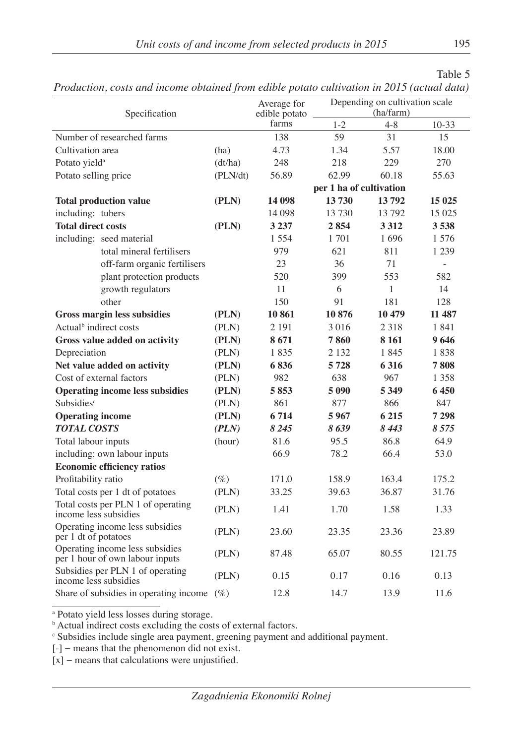| Table 5                                                                                    |
|--------------------------------------------------------------------------------------------|
| Production, costs and income obtained from edible potato cultivation in 2015 (actual data) |

| Specification                      |                                                                    |          | Average for<br>edible potato |                         | Depending on cultivation scale<br>(ha/farm) |                          |
|------------------------------------|--------------------------------------------------------------------|----------|------------------------------|-------------------------|---------------------------------------------|--------------------------|
|                                    |                                                                    |          | farms                        | $1 - 2$                 | $4 - 8$                                     | $10-33$                  |
|                                    | Number of researched farms                                         |          | 138                          | 59                      | 31                                          | 15                       |
| Cultivation area                   |                                                                    | (ha)     | 4.73                         | 1.34                    | 5.57                                        | 18.00                    |
| Potato yield <sup>a</sup>          |                                                                    | (dt/ha)  | 248                          | 218                     | 229                                         | 270                      |
| Potato selling price               |                                                                    | (PLN/dt) | 56.89                        | 62.99                   | 60.18                                       | 55.63                    |
|                                    |                                                                    |          |                              | per 1 ha of cultivation |                                             |                          |
|                                    | <b>Total production value</b>                                      | (PLN)    | 14 098                       | 13730                   | 13792                                       | 15 025                   |
| including: tubers                  |                                                                    |          | 14 098                       | 13 730                  | 13792                                       | 15 0 25                  |
| <b>Total direct costs</b>          |                                                                    | (PLN)    | 3 2 3 7                      | 2854                    | 3 3 1 2                                     | 3538                     |
|                                    | including: seed material                                           |          | 1 5 5 4                      | 1 701                   | 1696                                        | 1576                     |
|                                    | total mineral fertilisers                                          |          | 979                          | 621                     | 811                                         | 1 2 3 9                  |
|                                    | off-farm organic fertilisers                                       |          | 23                           | 36                      | 71                                          | $\overline{\phantom{a}}$ |
|                                    | plant protection products                                          |          | 520                          | 399                     | 553                                         | 582                      |
|                                    | growth regulators                                                  |          | 11                           | 6                       | 1                                           | 14                       |
|                                    | other                                                              |          | 150                          | 91                      | 181                                         | 128                      |
|                                    | <b>Gross margin less subsidies</b>                                 | (PLN)    | 10861                        | 10876                   | 10 479                                      | 11 487                   |
| Actual <sup>b</sup> indirect costs |                                                                    | (PLN)    | 2 1 9 1                      | 3016                    | 2 3 1 8                                     | 1841                     |
|                                    | Gross value added on activity                                      | (PLN)    | 8671                         | 7860                    | 8 1 6 1                                     | 9646                     |
| Depreciation                       |                                                                    | (PLN)    | 1835                         | 2 1 3 2                 | 1845                                        | 1838                     |
|                                    | Net value added on activity                                        | (PLN)    | 6836                         | 5728                    | 6316                                        | 7808                     |
|                                    | Cost of external factors                                           | (PLN)    | 982                          | 638                     | 967                                         | 1 3 5 8                  |
|                                    | <b>Operating income less subsidies</b>                             | (PLN)    | 5853                         | 5 0 9 0                 | 5 3 4 9                                     | 6450                     |
| <b>Subsidies<sup>c</sup></b>       |                                                                    | (PLN)    | 861                          | 877                     | 866                                         | 847                      |
| <b>Operating income</b>            |                                                                    | (PLN)    | 6 7 1 4                      | 5967                    | 6 2 1 5                                     | 7 298                    |
| <b>TOTAL COSTS</b>                 |                                                                    | (PLN)    | 8 2 4 5                      | 8639                    | 8443                                        | 8 5 7 5                  |
| Total labour inputs                |                                                                    | (hour)   | 81.6                         | 95.5                    | 86.8                                        | 64.9                     |
|                                    | including: own labour inputs                                       |          | 66.9                         | 78.2                    | 66.4                                        | 53.0                     |
|                                    | <b>Economic efficiency ratios</b>                                  |          |                              |                         |                                             |                          |
| Profitability ratio                |                                                                    | $(\%)$   | 171.0                        | 158.9                   | 163.4                                       | 175.2                    |
| Total costs per 1 dt of potatoes   |                                                                    | (PLN)    | 33.25                        | 39.63                   | 36.87                                       | 31.76                    |
|                                    | Total costs per PLN 1 of operating<br>income less subsidies        | (PLN)    | 1.41                         | 1.70                    | 1.58                                        | 1.33                     |
| per 1 dt of potatoes               | Operating income less subsidies                                    | (PLN)    | 23.60                        | 23.35                   | 23.36                                       | 23.89                    |
|                                    | Operating income less subsidies<br>per 1 hour of own labour inputs | (PLN)    | 87.48                        | 65.07                   | 80.55                                       | 121.75                   |
|                                    | Subsidies per PLN 1 of operating<br>income less subsidies          | (PLN)    | 0.15                         | 0.17                    | 0.16                                        | 0.13                     |
|                                    | Share of subsidies in operating income                             | $(\%)$   | 12.8                         | 14.7                    | 13.9                                        | 11.6                     |

a Potato yield less losses during storage. b Actual indirect costs excluding the costs of external factors.

c Subsidies include single area payment, greening payment and additional payment.

[-] − means that the phenomenon did not exist.

[x] – means that calculations were unjustified.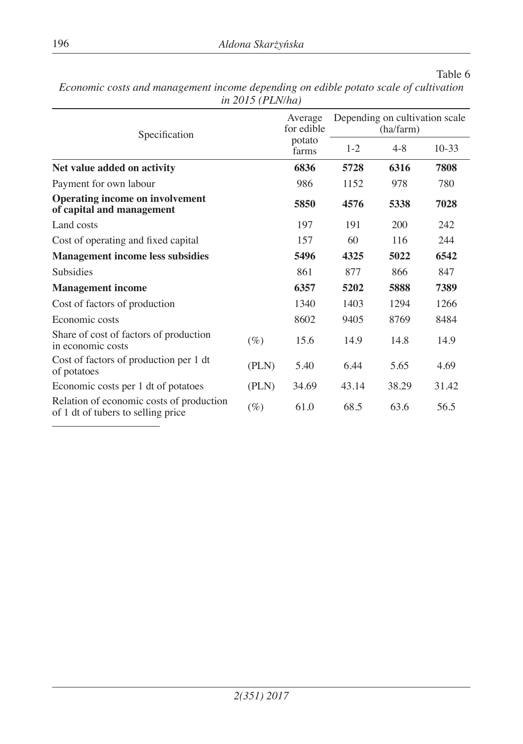| Specification                                                                  |        | Average<br>for edible | Depending on cultivation scale<br>(ha/farm) |         |         |  |
|--------------------------------------------------------------------------------|--------|-----------------------|---------------------------------------------|---------|---------|--|
|                                                                                |        | potato<br>farms       | $1 - 2$                                     | $4 - 8$ | $10-33$ |  |
| Net value added on activity                                                    |        | 6836                  | 5728                                        | 6316    | 7808    |  |
| Payment for own labour                                                         |        | 986                   | 1152                                        | 978     | 780     |  |
| <b>Operating income on involvement</b><br>of capital and management            |        | 5850                  | 4576                                        | 5338    | 7028    |  |
| Land costs                                                                     |        | 197                   | 191                                         | 200     | 242     |  |
| Cost of operating and fixed capital                                            |        | 157                   | 60                                          | 116     | 244     |  |
| <b>Management income less subsidies</b>                                        |        | 5496                  | 4325                                        | 5022    | 6542    |  |
| Subsidies                                                                      |        | 861                   | 877                                         | 866     | 847     |  |
| <b>Management income</b>                                                       |        | 6357                  | 5202                                        | 5888    | 7389    |  |
| Cost of factors of production                                                  |        | 1340                  | 1403                                        | 1294    | 1266    |  |
| Economic costs                                                                 |        | 8602                  | 9405                                        | 8769    | 8484    |  |
| Share of cost of factors of production<br>in economic costs                    | $(\%)$ | 15.6                  | 14.9                                        | 14.8    | 14.9    |  |
| Cost of factors of production per 1 dt<br>of potatoes                          | (PLN)  | 5.40                  | 6.44                                        | 5.65    | 4.69    |  |
| Economic costs per 1 dt of potatoes                                            | (PLN)  | 34.69                 | 43.14                                       | 38.29   | 31.42   |  |
| Relation of economic costs of production<br>of 1 dt of tubers to selling price | $(\%)$ | 61.0                  | 68.5                                        | 63.6    | 56.5    |  |

*Economic costs and management income depending on edible potato scale of cultivation in 2015 (PLN/ha)*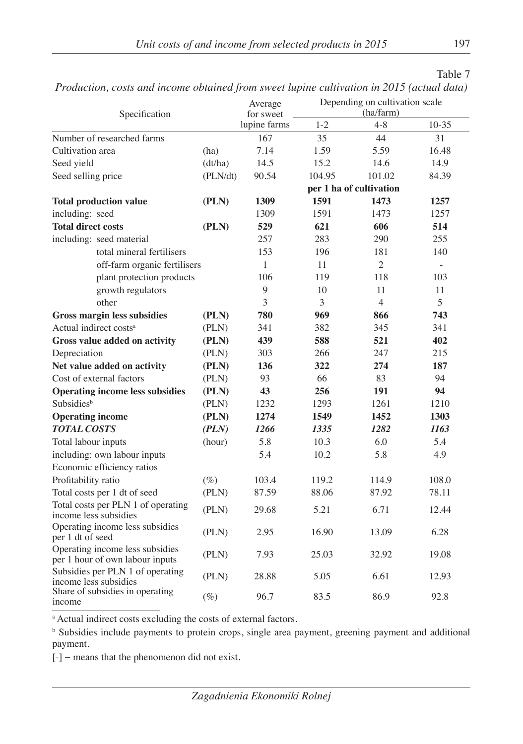|                                                                                           | Table 7 |
|-------------------------------------------------------------------------------------------|---------|
| Production, costs and income obtained from sweet lupine cultivation in 2015 (actual data) |         |

| 1 тойксион, созы ини теоте обнинси јтот змест прте синттитон ні 2015 (истин шин)<br>Specification |          | Average<br>for sweet | Depending on cultivation scale<br>(ha/farm) |                         |                          |  |
|---------------------------------------------------------------------------------------------------|----------|----------------------|---------------------------------------------|-------------------------|--------------------------|--|
|                                                                                                   |          | lupine farms         | $1-2$                                       | $4 - 8$                 | $10-35$                  |  |
| Number of researched farms                                                                        |          | 167                  | 35                                          | 44                      | 31                       |  |
| Cultivation area                                                                                  | (ha)     | 7.14                 | 1.59                                        | 5.59                    | 16.48                    |  |
| Seed yield                                                                                        | (dt/ha)  | 14.5                 | 15.2                                        | 14.6                    | 14.9                     |  |
| Seed selling price                                                                                | (PLN/dt) | 90.54                | 104.95                                      | 101.02                  | 84.39                    |  |
|                                                                                                   |          |                      |                                             | per 1 ha of cultivation |                          |  |
| <b>Total production value</b>                                                                     | (PLN)    | 1309                 | 1591                                        | 1473                    | 1257                     |  |
| including: seed                                                                                   |          | 1309                 | 1591                                        | 1473                    | 1257                     |  |
| <b>Total direct costs</b>                                                                         | (PLN)    | 529                  | 621                                         | 606                     | 514                      |  |
| including: seed material                                                                          |          | 257                  | 283                                         | 290                     | 255                      |  |
| total mineral fertilisers                                                                         |          | 153                  | 196                                         | 181                     | 140                      |  |
| off-farm organic fertilisers                                                                      |          | 1                    | 11                                          | $\overline{2}$          | $\overline{\phantom{a}}$ |  |
| plant protection products                                                                         |          | 106                  | 119                                         | 118                     | 103                      |  |
| growth regulators                                                                                 |          | 9                    | 10                                          | 11                      | 11                       |  |
| other                                                                                             |          | 3                    | 3                                           | $\overline{4}$          | 5                        |  |
| <b>Gross margin less subsidies</b>                                                                | (PLN)    | 780                  | 969                                         | 866                     | 743                      |  |
| Actual indirect costs <sup>a</sup>                                                                | (PLN)    | 341                  | 382                                         | 345                     | 341                      |  |
| Gross value added on activity                                                                     | (PLN)    | 439                  | 588                                         | 521                     | 402                      |  |
| Depreciation                                                                                      | (PLN)    | 303                  | 266                                         | 247                     | 215                      |  |
| Net value added on activity                                                                       | (PLN)    | 136                  | 322                                         | 274                     | 187                      |  |
| Cost of external factors                                                                          | (PLN)    | 93                   | 66                                          | 83                      | 94                       |  |
| <b>Operating income less subsidies</b>                                                            | (PLN)    | 43                   | 256                                         | 191                     | 94                       |  |
| <b>Subsidies</b> <sup>b</sup>                                                                     | (PLN)    | 1232                 | 1293                                        | 1261                    | 1210                     |  |
| <b>Operating income</b>                                                                           | (PLN)    | 1274                 | 1549                                        | 1452                    | 1303                     |  |
| <b>TOTAL COSTS</b>                                                                                | (PLN)    | 1266                 | 1335                                        | 1282                    | 1163                     |  |
| Total labour inputs                                                                               | (hour)   | 5.8                  | 10.3                                        | 6.0                     | 5.4                      |  |
| including: own labour inputs                                                                      |          | 5.4                  | 10.2                                        | 5.8                     | 4.9                      |  |
| Economic efficiency ratios                                                                        |          |                      |                                             |                         |                          |  |
| Profitability ratio                                                                               | $(\%)$   | 103.4                | 119.2                                       | 114.9                   | 108.0                    |  |
| Total costs per 1 dt of seed                                                                      | (PLN)    | 87.59                | 88.06                                       | 87.92                   | 78.11                    |  |
| Total costs per PLN 1 of operating<br>income less subsidies                                       | (PLN)    | 29.68                | 5.21                                        | 6.71                    | 12.44                    |  |
| Operating income less subsidies<br>per 1 dt of seed                                               | (PLN)    | 2.95                 | 16.90                                       | 13.09                   | 6.28                     |  |
| Operating income less subsidies<br>per 1 hour of own labour inputs                                | (PLN)    | 7.93                 | 25.03                                       | 32.92                   | 19.08                    |  |
| Subsidies per PLN 1 of operating<br>income less subsidies                                         | (PLN)    | 28.88                | 5.05                                        | 6.61                    | 12.93                    |  |
| Share of subsidies in operating<br>income                                                         | $(\%)$   | 96.7                 | 83.5                                        | 86.9                    | 92.8                     |  |

a Actual indirect costs excluding the costs of external factors.

<sup>b</sup> Subsidies include payments to protein crops, single area payment, greening payment and additional payment.

[-] − means that the phenomenon did not exist.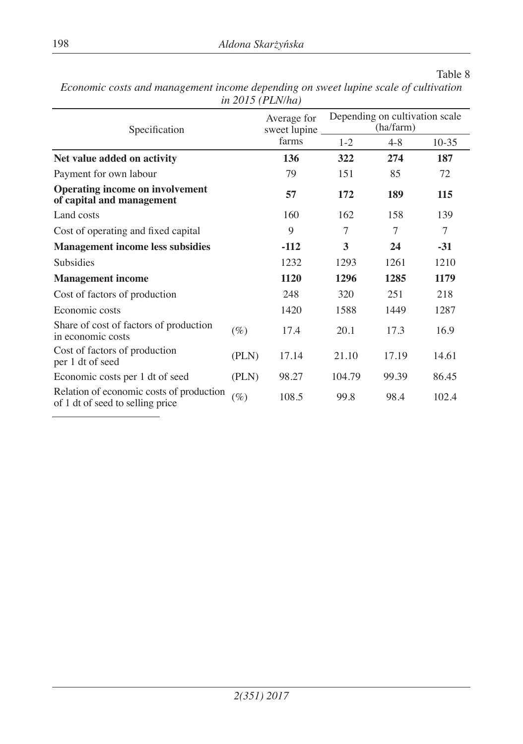| Specification                                                                |        | Average for<br>sweet lupine |         | Depending on cultivation scale<br>(ha/farm) |         |  |  |
|------------------------------------------------------------------------------|--------|-----------------------------|---------|---------------------------------------------|---------|--|--|
|                                                                              |        | farms                       | $1 - 2$ | $4 - 8$                                     | $10-35$ |  |  |
| Net value added on activity                                                  |        | 136                         | 322     | 274                                         | 187     |  |  |
| Payment for own labour                                                       |        | 79                          | 151     | 85                                          | 72      |  |  |
| <b>Operating income on involvement</b><br>of capital and management          |        | 57                          | 172     | 189                                         | 115     |  |  |
| Land costs                                                                   |        | 160                         | 162     | 158                                         | 139     |  |  |
| Cost of operating and fixed capital                                          |        | 9                           | 7       | 7                                           | 7       |  |  |
| <b>Management income less subsidies</b>                                      |        | $-112$                      | 3       | 24                                          | $-31$   |  |  |
| Subsidies                                                                    |        | 1232                        | 1293    | 1261                                        | 1210    |  |  |
| <b>Management income</b>                                                     |        | 1120                        | 1296    | 1285                                        | 1179    |  |  |
| Cost of factors of production                                                |        | 248                         | 320     | 251                                         | 218     |  |  |
| Economic costs                                                               |        | 1420                        | 1588    | 1449                                        | 1287    |  |  |
| Share of cost of factors of production<br>in economic costs                  | $(\%)$ | 17.4                        | 20.1    | 17.3                                        | 16.9    |  |  |
| Cost of factors of production<br>per 1 dt of seed                            | (PLN)  | 17.14                       | 21.10   | 17.19                                       | 14.61   |  |  |
| Economic costs per 1 dt of seed                                              | (PLN)  | 98.27                       | 104.79  | 99.39                                       | 86.45   |  |  |
| Relation of economic costs of production<br>of 1 dt of seed to selling price | $(\%)$ | 108.5                       | 99.8    | 98.4                                        | 102.4   |  |  |

*Economic costs and management income depending on sweet lupine scale of cultivation in 2015 (PLN/ha)*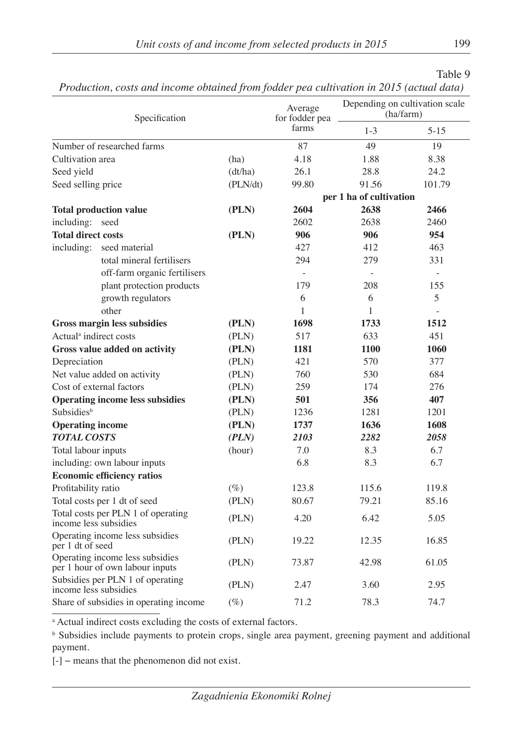|                                                                    | Specification                          |          | Average<br>for fodder pea<br>farms | Depending on cultivation scale<br>(ha/farm) |                          |
|--------------------------------------------------------------------|----------------------------------------|----------|------------------------------------|---------------------------------------------|--------------------------|
|                                                                    |                                        |          |                                    | $1 - 3$                                     | $5 - 15$                 |
| Number of researched farms                                         |                                        |          | 87                                 | 49                                          | 19                       |
| Cultivation area                                                   |                                        | (ha)     | 4.18                               | 1.88                                        | 8.38                     |
| Seed yield                                                         |                                        | (dt/ha)  | 26.1                               | 28.8                                        | 24.2                     |
| Seed selling price                                                 |                                        | (PLN/dt) | 99.80                              | 91.56                                       | 101.79                   |
|                                                                    |                                        |          | per 1 ha of cultivation            |                                             |                          |
| <b>Total production value</b>                                      |                                        | (PLN)    | 2604                               | 2638                                        | 2466                     |
| including: seed                                                    |                                        |          | 2602                               | 2638                                        | 2460                     |
| <b>Total direct costs</b>                                          |                                        | (PLN)    | 906                                | 906                                         | 954                      |
| including:                                                         | seed material                          |          | 427                                | 412                                         | 463                      |
|                                                                    | total mineral fertilisers              |          | 294                                | 279                                         | 331                      |
|                                                                    | off-farm organic fertilisers           |          | $\overline{\phantom{a}}$           | $\overline{\phantom{a}}$                    | $\overline{\phantom{a}}$ |
|                                                                    | plant protection products              |          | 179                                | 208                                         | 155                      |
|                                                                    | growth regulators                      |          | 6                                  | 6                                           | 5                        |
|                                                                    | other                                  |          | 1                                  | 1                                           |                          |
|                                                                    | <b>Gross margin less subsidies</b>     | (PLN)    | 1698                               | 1733                                        | 1512                     |
| Actual <sup>a</sup> indirect costs                                 |                                        | (PLN)    | 517                                | 633                                         | 451                      |
|                                                                    | Gross value added on activity          | (PLN)    | 1181                               | 1100                                        | 1060                     |
| Depreciation                                                       |                                        | (PLN)    | 421                                | 570                                         | 377                      |
|                                                                    | Net value added on activity            | (PLN)    | 760                                | 530                                         | 684                      |
| Cost of external factors                                           |                                        | (PLN)    | 259                                | 174                                         | 276                      |
|                                                                    | <b>Operating income less subsidies</b> | (PLN)    | 501                                | 356                                         | 407                      |
| Subsidies <sup>b</sup>                                             |                                        | (PLN)    | 1236                               | 1281                                        | 1201                     |
| <b>Operating income</b>                                            |                                        | (PLN)    | 1737                               | 1636                                        | 1608                     |
| <b>TOTAL COSTS</b>                                                 |                                        | (PLN)    | 2103                               | 2282                                        | 2058                     |
| Total labour inputs                                                |                                        | (hour)   | 7.0                                | 8.3                                         | 6.7                      |
|                                                                    | including: own labour inputs           |          | 6.8                                | 8.3                                         | 6.7                      |
|                                                                    | <b>Economic efficiency ratios</b>      |          |                                    |                                             |                          |
| Profitability ratio                                                |                                        | $(\%)$   | 123.8                              | 115.6                                       | 119.8                    |
| Total costs per 1 dt of seed                                       |                                        | (PLN)    | 80.67                              | 79.21                                       | 85.16                    |
| Total costs per PLN 1 of operating<br>income less subsidies        |                                        | (PLN)    | 4.20                               | 6.42                                        | 5.05                     |
| Operating income less subsidies<br>per 1 dt of seed                |                                        | (PLN)    | 19.22                              | 12.35                                       | 16.85                    |
| Operating income less subsidies<br>per 1 hour of own labour inputs |                                        | (PLN)    | 73.87                              | 42.98                                       | 61.05                    |
| Subsidies per PLN 1 of operating<br>income less subsidies          |                                        | (PLN)    | 2.47                               | 3.60                                        | 2.95                     |
| Share of subsidies in operating income                             |                                        | $(\%)$   | 71.2                               | 78.3                                        | 74.7                     |

*Production, costs and income obtained from fodder pea cultivation in 2015 (actual data)*

a Actual indirect costs excluding the costs of external factors.

<sup>b</sup> Subsidies include payments to protein crops, single area payment, greening payment and additional payment.

[-] − means that the phenomenon did not exist.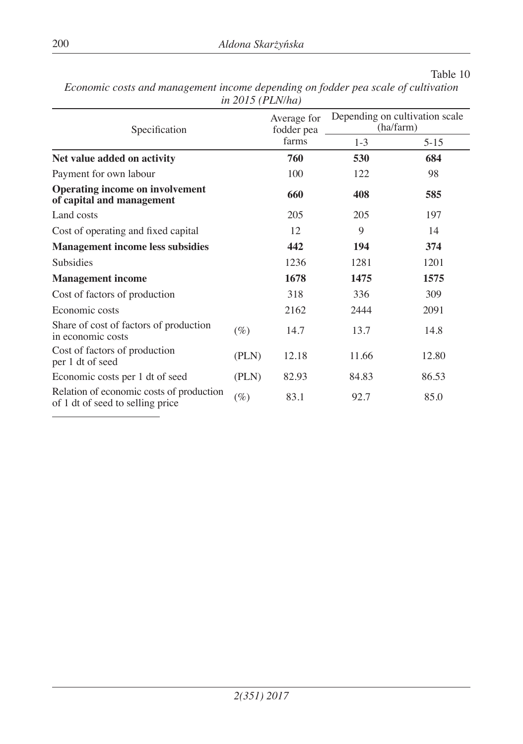| Specification                                                                |        | Average for<br>fodder pea<br>farms | Depending on cultivation scale<br>(ha/farm) |          |
|------------------------------------------------------------------------------|--------|------------------------------------|---------------------------------------------|----------|
|                                                                              |        |                                    | $1 - 3$                                     | $5 - 15$ |
| Net value added on activity                                                  | 760    | 530                                | 684                                         |          |
| Payment for own labour                                                       |        | 100                                | 122                                         | 98       |
| <b>Operating income on involvement</b><br>of capital and management          |        | 660                                | 408                                         | 585      |
| Land costs                                                                   |        | 205                                | 205                                         | 197      |
| Cost of operating and fixed capital                                          |        | 12                                 | 9                                           | 14       |
| <b>Management income less subsidies</b>                                      | 442    | 194                                | 374                                         |          |
| <b>Subsidies</b>                                                             |        | 1236                               | 1281                                        | 1201     |
| <b>Management income</b>                                                     | 1678   | 1475                               | 1575                                        |          |
| Cost of factors of production                                                |        | 318                                | 336                                         | 309      |
| Economic costs                                                               |        | 2162                               | 2444                                        | 2091     |
| Share of cost of factors of production<br>in economic costs                  | $(\%)$ | 14.7                               | 13.7                                        | 14.8     |
| Cost of factors of production<br>per 1 dt of seed                            | (PLN)  | 12.18                              | 11.66                                       | 12.80    |
| Economic costs per 1 dt of seed                                              | (PLN)  | 82.93                              | 84.83                                       | 86.53    |
| Relation of economic costs of production<br>of 1 dt of seed to selling price | $(\%)$ | 83.1                               | 92.7                                        | 85.0     |

*Economic costs and management income depending on fodder pea scale of cultivation in 2015 (PLN/ha)*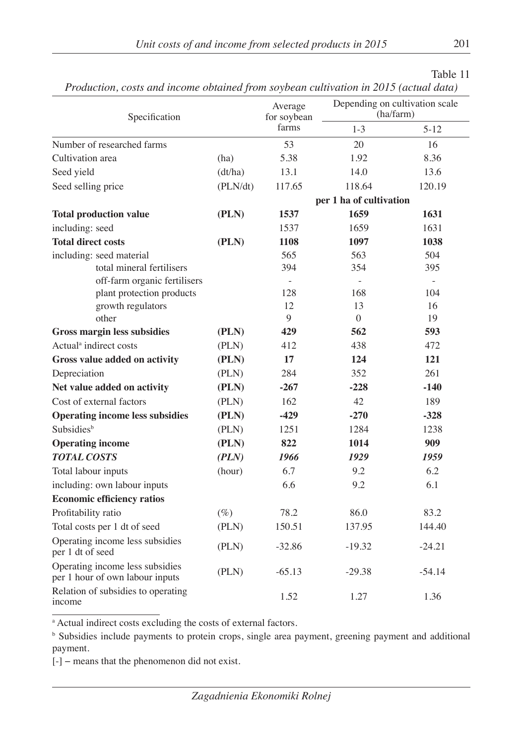|--|--|

| Specification                                                      |          | Average<br>for soybean  | Depending on cultivation scale<br>(ha/farm) |           |  |
|--------------------------------------------------------------------|----------|-------------------------|---------------------------------------------|-----------|--|
|                                                                    |          | farms                   | $1 - 3$                                     | $5 - 12$  |  |
| Number of researched farms                                         |          | 53                      | 20                                          | 16        |  |
| Cultivation area                                                   | (ha)     | 5.38                    | 1.92                                        | 8.36      |  |
| Seed yield                                                         | (dt/ha)  | 13.1                    | 14.0                                        | 13.6      |  |
| Seed selling price                                                 | (PLN/dt) | 117.65                  | 118.64                                      | 120.19    |  |
|                                                                    |          | per 1 ha of cultivation |                                             |           |  |
| <b>Total production value</b>                                      | (PLN)    | 1537                    | 1659                                        | 1631      |  |
| including: seed                                                    |          | 1537                    | 1659                                        | 1631      |  |
| <b>Total direct costs</b>                                          | (PLN)    | 1108                    | 1097                                        | 1038      |  |
| including: seed material                                           |          | 565                     | 563                                         | 504       |  |
| total mineral fertilisers                                          |          | 394                     | 354                                         | 395       |  |
| off-farm organic fertilisers                                       |          |                         |                                             | $\bar{a}$ |  |
| plant protection products                                          |          | 128                     | 168                                         | 104       |  |
| growth regulators                                                  |          | 12                      | 13                                          | 16        |  |
| other                                                              |          | 9                       | $\Omega$                                    | 19        |  |
| <b>Gross margin less subsidies</b>                                 | (PLN)    | 429                     | 562                                         | 593       |  |
| Actual <sup>a</sup> indirect costs                                 | (PLN)    | 412                     | 438                                         | 472       |  |
| Gross value added on activity                                      | (PLN)    | 17                      | 124                                         | 121       |  |
| Depreciation                                                       | (PLN)    | 284                     | 352                                         | 261       |  |
| Net value added on activity                                        | (PLN)    | $-267$                  | $-228$                                      | $-140$    |  |
| Cost of external factors                                           | (PLN)    | 162                     | 42                                          | 189       |  |
| <b>Operating income less subsidies</b>                             | (PLN)    | $-429$                  | $-270$                                      | $-328$    |  |
| Subsidiesb                                                         | (PLN)    | 1251                    | 1284                                        | 1238      |  |
| <b>Operating income</b>                                            | (PLN)    | 822                     | 1014                                        | 909       |  |
| <b>TOTAL COSTS</b>                                                 | (PLN)    | 1966                    | 1929                                        | 1959      |  |
| Total labour inputs                                                | (hour)   | 6.7                     | 9.2                                         | 6.2       |  |
| including: own labour inputs                                       |          | 6.6                     | 9.2                                         | 6.1       |  |
| <b>Economic efficiency ratios</b>                                  |          |                         |                                             |           |  |
| Profitability ratio                                                | $(\%)$   | 78.2                    | 86.0                                        | 83.2      |  |
| Total costs per 1 dt of seed                                       | (PLN)    | 150.51                  | 137.95                                      | 144.40    |  |
| Operating income less subsidies<br>per 1 dt of seed                | (PLN)    | $-32.86$                | $-19.32$                                    | $-24.21$  |  |
| Operating income less subsidies<br>per 1 hour of own labour inputs | (PLN)    | $-65.13$                | $-29.38$                                    | $-54.14$  |  |
| Relation of subsidies to operating<br>income                       |          | 1.52                    | 1.27                                        | 1.36      |  |

*Production, costs and income obtained from soybean cultivation in 2015 (actual data)*

a Actual indirect costs excluding the costs of external factors.

<sup>b</sup> Subsidies include payments to protein crops, single area payment, greening payment and additional payment.

*Zagadnienia Ekonomiki Rolnej*

[-] − means that the phenomenon did not exist.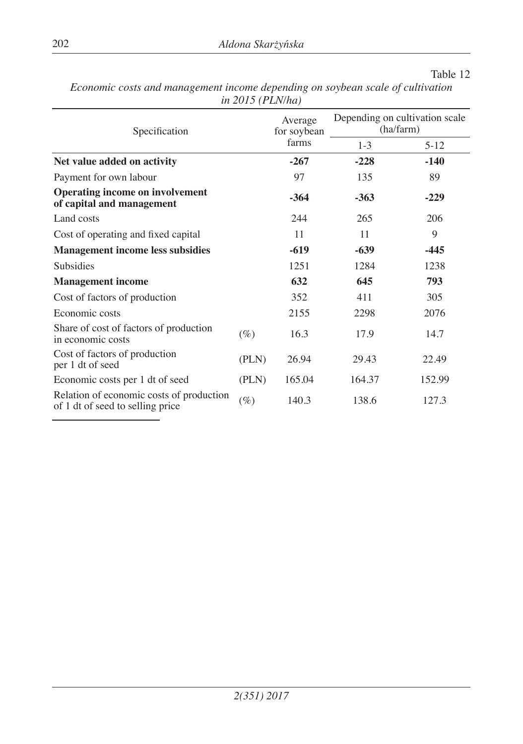| Specification                                                                |        | Average<br>for soybean<br>farms | Depending on cultivation scale<br>(ha/farm) |          |
|------------------------------------------------------------------------------|--------|---------------------------------|---------------------------------------------|----------|
|                                                                              |        |                                 | $1 - 3$                                     | $5 - 12$ |
| Net value added on activity                                                  |        | $-267$                          | $-228$                                      | $-140$   |
| Payment for own labour                                                       |        | 97                              | 135                                         | 89       |
| <b>Operating income on involvement</b><br>of capital and management          |        | $-364$                          | $-363$                                      | $-229$   |
| Land costs                                                                   |        | 244                             | 265                                         | 206      |
| Cost of operating and fixed capital                                          |        | 11                              | 11                                          | 9        |
| <b>Management income less subsidies</b>                                      | $-619$ | $-639$                          | -445                                        |          |
| Subsidies                                                                    |        | 1251                            | 1284                                        | 1238     |
| <b>Management income</b>                                                     |        | 632                             | 645                                         | 793      |
| Cost of factors of production                                                |        | 352                             | 411                                         | 305      |
| Economic costs                                                               |        | 2155                            | 2298                                        | 2076     |
| Share of cost of factors of production<br>in economic costs                  | $(\%)$ | 16.3                            | 17.9                                        | 14.7     |
| Cost of factors of production<br>per 1 dt of seed                            | (PLN)  | 26.94                           | 29.43                                       | 22.49    |
| Economic costs per 1 dt of seed                                              | (PLN)  | 165.04                          | 164.37                                      | 152.99   |
| Relation of economic costs of production<br>of 1 dt of seed to selling price | $(\%)$ | 140.3                           | 138.6                                       | 127.3    |

*Economic costs and management income depending on soybean scale of cultivation in 2015 (PLN/ha)*